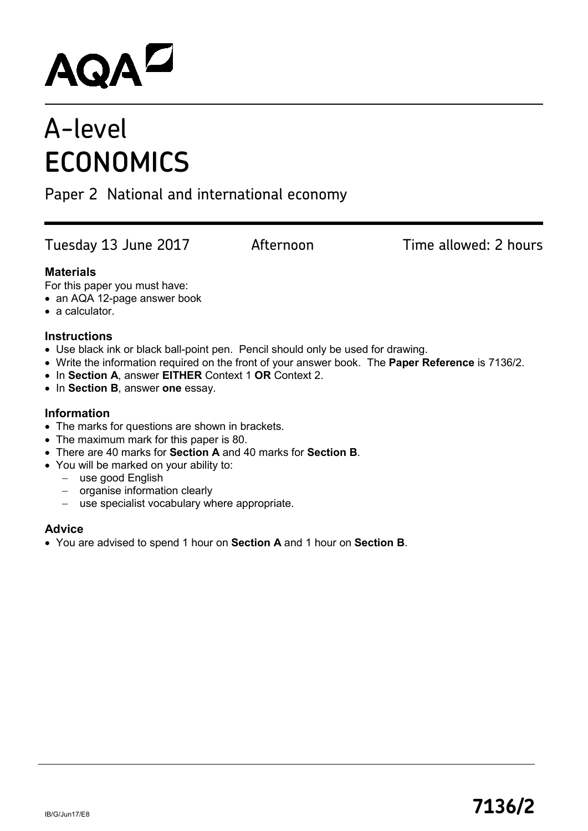

# A-level **ECONOMICS**

# Paper 2 National and international economy

Tuesday 13 June 2017 Afternoon Time allowed: 2 hours

# **Materials**

For this paper you must have:

- an AQA 12-page answer book
- a calculator.

# **Instructions**

- Use black ink or black ball-point pen. Pencil should only be used for drawing.
- Write the information required on the front of your answer book. The **Paper Reference** is 7136/2.
- In **Section A**, answer **EITHER** Context 1 **OR** Context 2.
- In **Section B**, answer **one** essay.

# **Information**

- The marks for questions are shown in brackets.
- The maximum mark for this paper is 80.
- There are 40 marks for **Section A** and 40 marks for **Section B**.
- You will be marked on your ability to:
	- − use good English
		- − organise information clearly
		- − use specialist vocabulary where appropriate.

# **Advice**

• You are advised to spend 1 hour on **Section A** and 1 hour on **Section B**.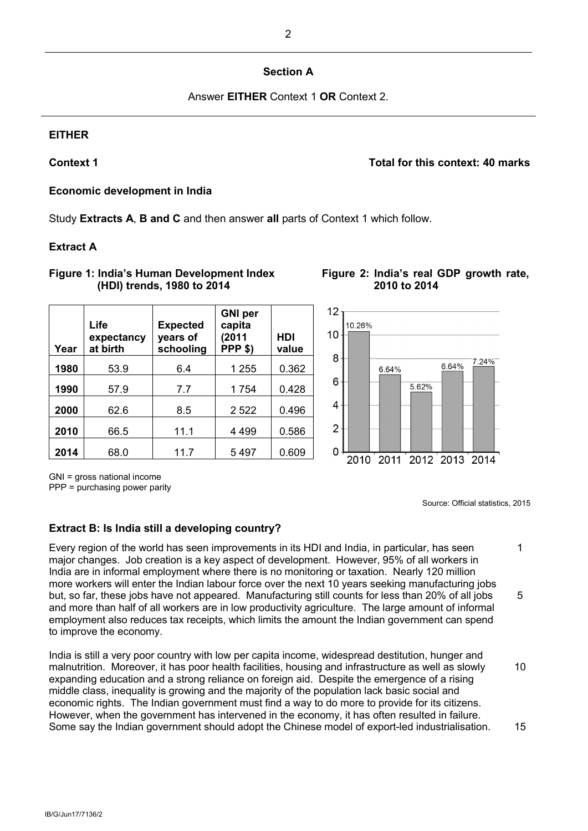# **Section A**

Answer **EITHER** Context 1 **OR** Context 2.

# **EITHER**

### **Context 1 Total for this context: 40 marks**

## **Economic development in India**

Study **Extracts A**, **B and C** and then answer **all** parts of Context 1 which follow.

### **Extract A**

### **Figure 1: India's Human Development Index (HDI) trends, 1980 to 2014**

| Year | Life<br>expectancy<br>at birth | <b>Expected</b><br>years of<br>schooling | <b>GNI</b> per<br>capita<br>(2011<br>PPP \$) | HDI<br>value |
|------|--------------------------------|------------------------------------------|----------------------------------------------|--------------|
| 1980 | 53.9                           | 6.4                                      | 1 255                                        | 0.362        |
| 1990 | 57.9                           | 7.7                                      | 1 754                                        | 0.428        |
| 2000 | 62.6                           | 8.5                                      | 2 5 2 2                                      | 0.496        |
| 2010 | 66.5                           | 11.1                                     | 4 4 9 9                                      | 0.586        |
| 2014 | 68.0                           | 11.7                                     | 5497                                         | 0.609        |



### **Figure 2: India's real GDP growth rate, 2010 to 2014**

GNI = gross national income

PPP = purchasing power parity

Source: Official statistics, 2015

## **Extract B: Is India still a developing country?**

Every region of the world has seen improvements in its HDI and India, in particular, has seen major changes. Job creation is a key aspect of development. However, 95% of all workers in India are in informal employment where there is no monitoring or taxation. Nearly 120 million more workers will enter the Indian labour force over the next 10 years seeking manufacturing jobs but, so far, these jobs have not appeared. Manufacturing still counts for less than 20% of all jobs and more than half of all workers are in low productivity agriculture. The large amount of informal employment also reduces tax receipts, which limits the amount the Indian government can spend to improve the economy. 1 5

India is still a very poor country with low per capita income, widespread destitution, hunger and malnutrition. Moreover, it has poor health facilities, housing and infrastructure as well as slowly expanding education and a strong reliance on foreign aid. Despite the emergence of a rising middle class, inequality is growing and the majority of the population lack basic social and economic rights. The Indian government must find a way to do more to provide for its citizens. However, when the government has intervened in the economy, it has often resulted in failure. Some say the Indian government should adopt the Chinese model of export-led industrialisation. 10 15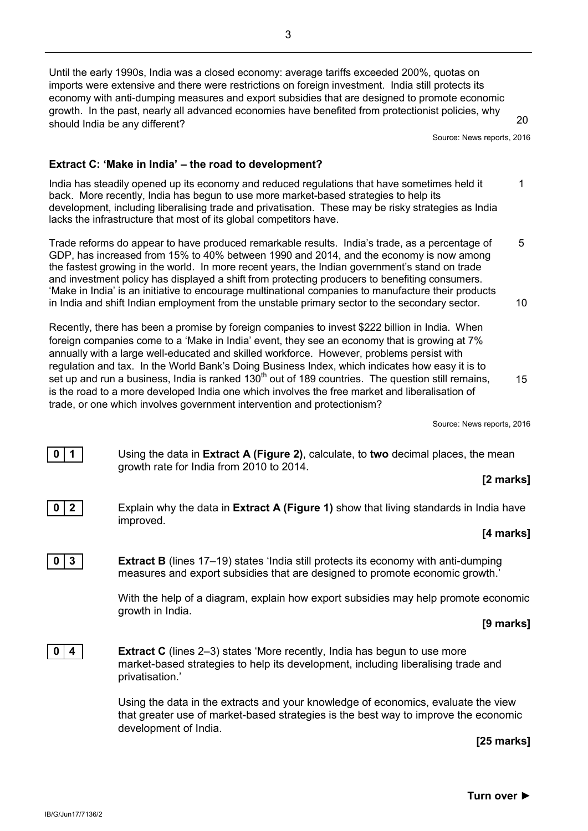3

Until the early 1990s, India was a closed economy: average tariffs exceeded 200%, quotas on imports were extensive and there were restrictions on foreign investment. India still protects its economy with anti-dumping measures and export subsidies that are designed to promote economic growth. In the past, nearly all advanced economies have benefited from protectionist policies, why should India be any different?

Source: News reports, 2016

1

### **Extract C: 'Make in India' – the road to development?**

India has steadily opened up its economy and reduced regulations that have sometimes held it back. More recently, India has begun to use more market-based strategies to help its development, including liberalising trade and privatisation. These may be risky strategies as India lacks the infrastructure that most of its global competitors have.

Trade reforms do appear to have produced remarkable results. India's trade, as a percentage of GDP, has increased from 15% to 40% between 1990 and 2014, and the economy is now among the fastest growing in the world. In more recent years, the Indian government's stand on trade and investment policy has displayed a shift from protecting producers to benefiting consumers. 'Make in India' is an initiative to encourage multinational companies to manufacture their products in India and shift Indian employment from the unstable primary sector to the secondary sector. 5 10

Recently, there has been a promise by foreign companies to invest \$222 billion in India. When foreign companies come to a 'Make in India' event, they see an economy that is growing at 7% annually with a large well-educated and skilled workforce. However, problems persist with regulation and tax. In the World Bank's Doing Business Index, which indicates how easy it is to set up and run a business, India is ranked  $130<sup>th</sup>$  out of 189 countries. The question still remains, is the road to a more developed India one which involves the free market and liberalisation of trade, or one which involves government intervention and protectionism? 15

Source: News reports, 2016

**0 1** Using the data in **Extract A (Figure 2)**, calculate, to **two** decimal places, the mean growth rate for India from 2010 to 2014.

### **[2 marks]**

**0 2** Explain why the data in **Extract A (Figure 1)** show that living standards in India have improved.

### **[4 marks]**

**0 3 Extract B** (lines 17–19) states 'India still protects its economy with anti-dumping measures and export subsidies that are designed to promote economic growth.'

> With the help of a diagram, explain how export subsidies may help promote economic growth in India.

### **[9 marks]**

**0 4 Extract C** (lines 2–3) states 'More recently, India has begun to use more market-based strategies to help its development, including liberalising trade and privatisation.'

> Using the data in the extracts and your knowledge of economics, evaluate the view that greater use of market-based strategies is the best way to improve the economic development of India.

> > **[25 marks]**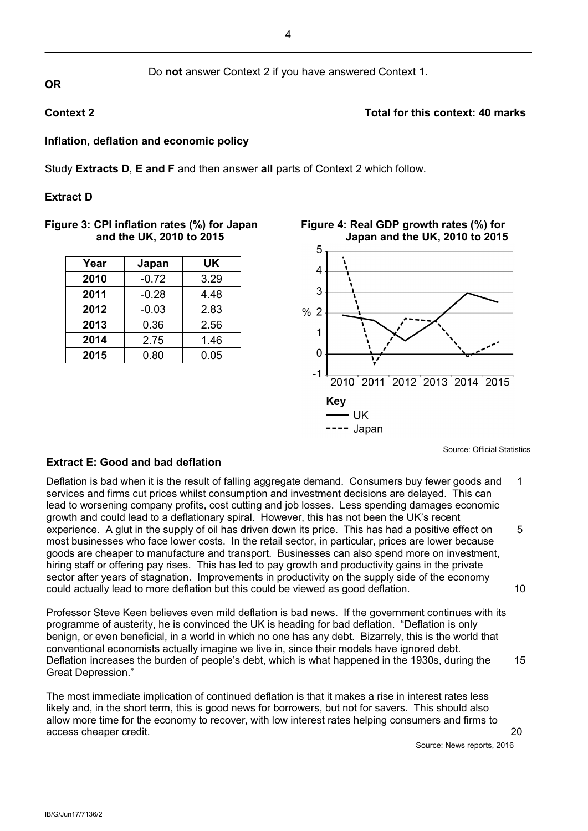# Do **not** answer Context 2 if you have answered Context 1.

**OR**

**Context 2 Total for this context: 40 marks**

# **Inflation, deflation and economic policy**

Study **Extracts D**, **E and F** and then answer **all** parts of Context 2 which follow.

# **Extract D**

### **Figure 3: CPI inflation rates (%) for Japan and the UK, 2010 to 2015**

| Year | Japan   | UK   |
|------|---------|------|
| 2010 | $-0.72$ | 3.29 |
| 2011 | $-0.28$ | 4.48 |
| 2012 | $-0.03$ | 2.83 |
| 2013 | 0.36    | 2.56 |
| 2014 | 2.75    | 1.46 |
| 2015 | 0.80    | 0.05 |



Source: Official Statistics

# **Extract E: Good and bad deflation**

Deflation is bad when it is the result of falling aggregate demand. Consumers buy fewer goods and services and firms cut prices whilst consumption and investment decisions are delayed. This can lead to worsening company profits, cost cutting and job losses. Less spending damages economic growth and could lead to a deflationary spiral. However, this has not been the UK's recent experience. A glut in the supply of oil has driven down its price. This has had a positive effect on most businesses who face lower costs. In the retail sector, in particular, prices are lower because goods are cheaper to manufacture and transport. Businesses can also spend more on investment, hiring staff or offering pay rises. This has led to pay growth and productivity gains in the private sector after years of stagnation. Improvements in productivity on the supply side of the economy could actually lead to more deflation but this could be viewed as good deflation. 1 5 10

Professor Steve Keen believes even mild deflation is bad news. If the government continues with its programme of austerity, he is convinced the UK is heading for bad deflation. "Deflation is only benign, or even beneficial, in a world in which no one has any debt. Bizarrely, this is the world that conventional economists actually imagine we live in, since their models have ignored debt. Deflation increases the burden of people's debt, which is what happened in the 1930s, during the Great Depression." 15

The most immediate implication of continued deflation is that it makes a rise in interest rates less likely and, in the short term, this is good news for borrowers, but not for savers. This should also allow more time for the economy to recover, with low interest rates helping consumers and firms to access cheaper credit.

Source: News reports, 2016

20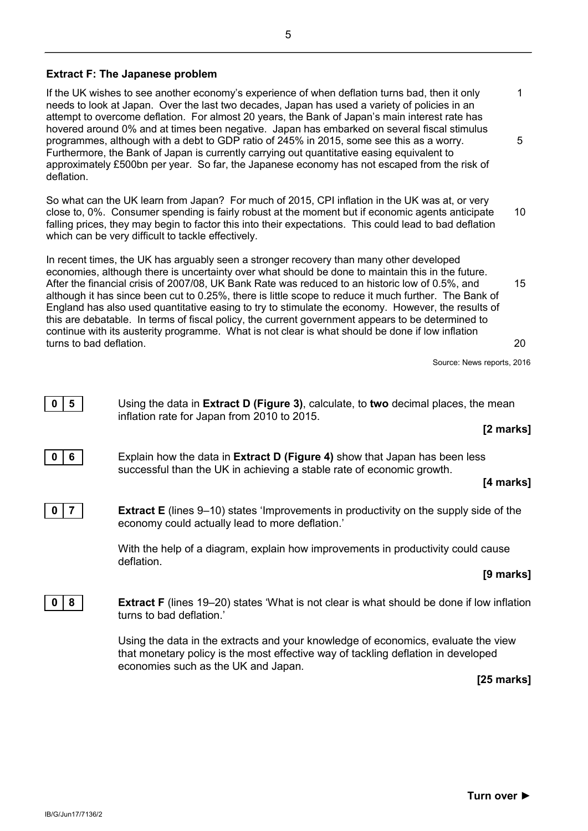# **Extract F: The Japanese problem**

If the UK wishes to see another economy's experience of when deflation turns bad, then it only needs to look at Japan. Over the last two decades, Japan has used a variety of policies in an attempt to overcome deflation. For almost 20 years, the Bank of Japan's main interest rate has hovered around 0% and at times been negative. Japan has embarked on several fiscal stimulus programmes, although with a debt to GDP ratio of 245% in 2015, some see this as a worry. Furthermore, the Bank of Japan is currently carrying out quantitative easing equivalent to approximately £500bn per year. So far, the Japanese economy has not escaped from the risk of deflation. 1 5

So what can the UK learn from Japan? For much of 2015, CPI inflation in the UK was at, or very close to, 0%. Consumer spending is fairly robust at the moment but if economic agents anticipate falling prices, they may begin to factor this into their expectations. This could lead to bad deflation which can be very difficult to tackle effectively. 10

In recent times, the UK has arguably seen a stronger recovery than many other developed economies, although there is uncertainty over what should be done to maintain this in the future. After the financial crisis of 2007/08, UK Bank Rate was reduced to an historic low of 0.5%, and although it has since been cut to 0.25%, there is little scope to reduce it much further. The Bank of England has also used quantitative easing to try to stimulate the economy. However, the results of this are debatable. In terms of fiscal policy, the current government appears to be determined to continue with its austerity programme. What is not clear is what should be done if low inflation turns to bad deflation. 15 20

Source: News reports, 2016

| 5<br>$\mathbf 0$ | Using the data in <b>Extract D (Figure 3)</b> , calculate, to two decimal places, the mean<br>inflation rate for Japan from 2010 to 2015.<br>[2 marks]                                                        |  |  |  |  |
|------------------|---------------------------------------------------------------------------------------------------------------------------------------------------------------------------------------------------------------|--|--|--|--|
| 6                | Explain how the data in <b>Extract D (Figure 4)</b> show that Japan has been less<br>successful than the UK in achieving a stable rate of economic growth.<br>[4 marks]                                       |  |  |  |  |
|                  | <b>Extract E</b> (lines 9–10) states 'Improvements in productivity on the supply side of the<br>economy could actually lead to more deflation.'                                                               |  |  |  |  |
|                  | With the help of a diagram, explain how improvements in productivity could cause<br>deflation.                                                                                                                |  |  |  |  |
|                  | [9 marks]                                                                                                                                                                                                     |  |  |  |  |
| 8                | <b>Extract F</b> (lines 19–20) states 'What is not clear is what should be done if low inflation<br>turns to bad deflation.'                                                                                  |  |  |  |  |
|                  | Using the data in the extracts and your knowledge of economics, evaluate the view<br>that monetary policy is the most effective way of tackling deflation in developed<br>economies such as the UK and Japan. |  |  |  |  |
|                  | [25 marks]                                                                                                                                                                                                    |  |  |  |  |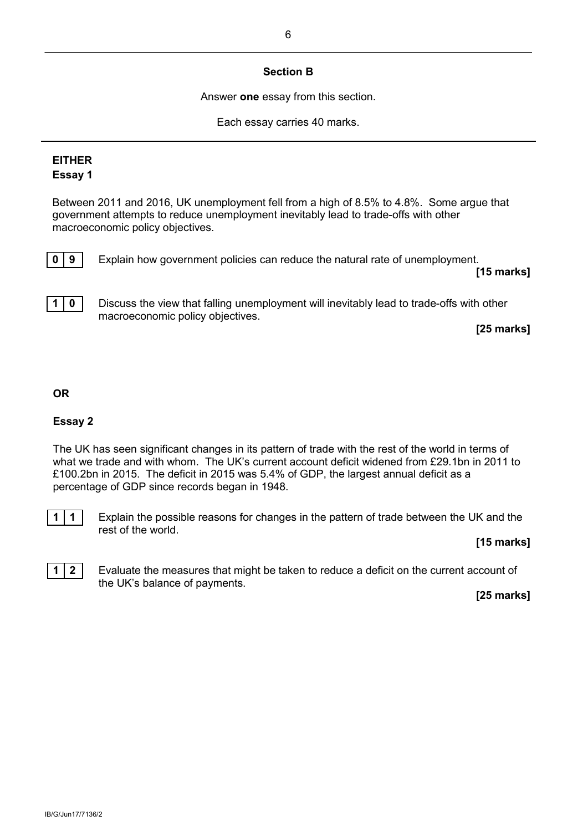# **Section B**

Answer **one** essay from this section.

Each essay carries 40 marks.

# **EITHER Essay 1**

Between 2011 and 2016, UK unemployment fell from a high of 8.5% to 4.8%. Some argue that government attempts to reduce unemployment inevitably lead to trade-offs with other macroeconomic policy objectives.



**0** | **9** | Explain how government policies can reduce the natural rate of unemployment. **[15 marks]**



**1 0** Discuss the view that falling unemployment will inevitably lead to trade-offs with other macroeconomic policy objectives.

**[25 marks]**

# **OR**

# **Essay 2**

The UK has seen significant changes in its pattern of trade with the rest of the world in terms of what we trade and with whom. The UK's current account deficit widened from £29.1bn in 2011 to £100.2bn in 2015. The deficit in 2015 was 5.4% of GDP, the largest annual deficit as a percentage of GDP since records began in 1948.



**1 1** Explain the possible reasons for changes in the pattern of trade between the UK and the rest of the world.

## **[15 marks]**



**1 2** Evaluate the measures that might be taken to reduce a deficit on the current account of the UK's balance of payments.

**[25 marks]**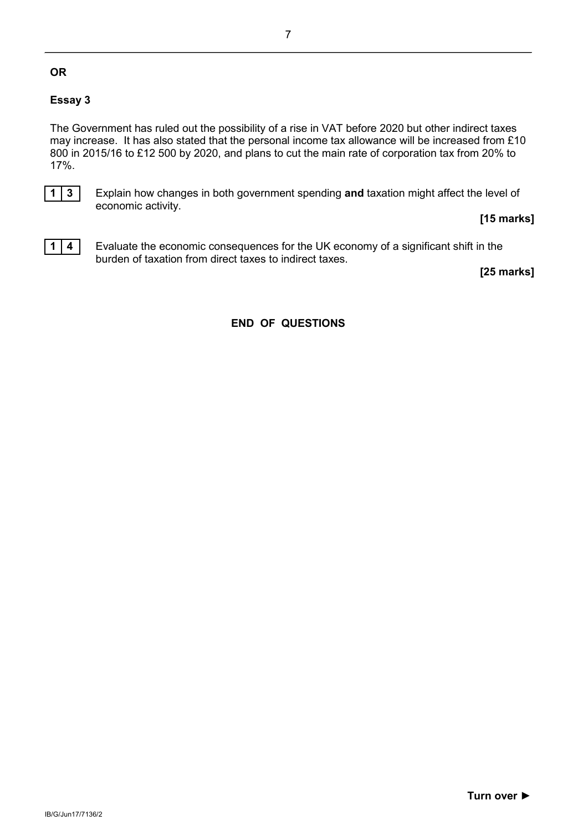### **OR**

# **Essay 3**

The Government has ruled out the possibility of a rise in VAT before 2020 but other indirect taxes may increase. It has also stated that the personal income tax allowance will be increased from £10 800 in 2015/16 to £12 500 by 2020, and plans to cut the main rate of corporation tax from 20% to 17%.



**1 3** Explain how changes in both government spending **and** taxation might affect the level of economic activity.

## **[15 marks]**



**1 4** Evaluate the economic consequences for the UK economy of a significant shift in the burden of taxation from direct taxes to indirect taxes.

**[25 marks]**

# **END OF QUESTIONS**